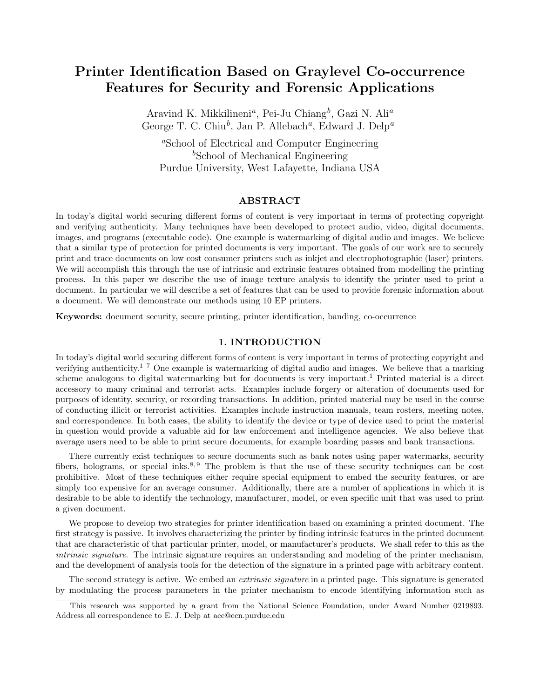# Printer Identification Based on Graylevel Co-occurrence Features for Security and Forensic Applications

Aravind K. Mikkilineni<sup>a</sup>, Pei-Ju Chiang<sup>b</sup>, Gazi N. Ali<sup>a</sup> George T. C. Chiu<sup>b</sup>, Jan P. Allebach<sup>a</sup>, Edward J. Delp<sup>a</sup>

<sup>a</sup>School of Electrical and Computer Engineering  $b$ School of Mechanical Engineering Purdue University, West Lafayette, Indiana USA

## ABSTRACT

In today's digital world securing different forms of content is very important in terms of protecting copyright and verifying authenticity. Many techniques have been developed to protect audio, video, digital documents, images, and programs (executable code). One example is watermarking of digital audio and images. We believe that a similar type of protection for printed documents is very important. The goals of our work are to securely print and trace documents on low cost consumer printers such as inkjet and electrophotographic (laser) printers. We will accomplish this through the use of intrinsic and extrinsic features obtained from modelling the printing process. In this paper we describe the use of image texture analysis to identify the printer used to print a document. In particular we will describe a set of features that can be used to provide forensic information about a document. We will demonstrate our methods using 10 EP printers.

Keywords: document security, secure printing, printer identification, banding, co-occurrence

## 1. INTRODUCTION

In today's digital world securing different forms of content is very important in terms of protecting copyright and verifying authenticity.1–7 One example is watermarking of digital audio and images. We believe that a marking scheme analogous to digital watermarking but for documents is very important.<sup>1</sup> Printed material is a direct accessory to many criminal and terrorist acts. Examples include forgery or alteration of documents used for purposes of identity, security, or recording transactions. In addition, printed material may be used in the course of conducting illicit or terrorist activities. Examples include instruction manuals, team rosters, meeting notes, and correspondence. In both cases, the ability to identify the device or type of device used to print the material in question would provide a valuable aid for law enforcement and intelligence agencies. We also believe that average users need to be able to print secure documents, for example boarding passes and bank transactions.

There currently exist techniques to secure documents such as bank notes using paper watermarks, security fibers, holograms, or special inks.<sup>8, 9</sup> The problem is that the use of these security techniques can be cost prohibitive. Most of these techniques either require special equipment to embed the security features, or are simply too expensive for an average consumer. Additionally, there are a number of applications in which it is desirable to be able to identify the technology, manufacturer, model, or even specific unit that was used to print a given document.

We propose to develop two strategies for printer identification based on examining a printed document. The first strategy is passive. It involves characterizing the printer by finding intrinsic features in the printed document that are characteristic of that particular printer, model, or manufacturer's products. We shall refer to this as the intrinsic signature. The intrinsic signature requires an understanding and modeling of the printer mechanism, and the development of analysis tools for the detection of the signature in a printed page with arbitrary content.

The second strategy is active. We embed an *extrinsic signature* in a printed page. This signature is generated by modulating the process parameters in the printer mechanism to encode identifying information such as

This research was supported by a grant from the National Science Foundation, under Award Number 0219893. Address all correspondence to E. J. Delp at ace@ecn.purdue.edu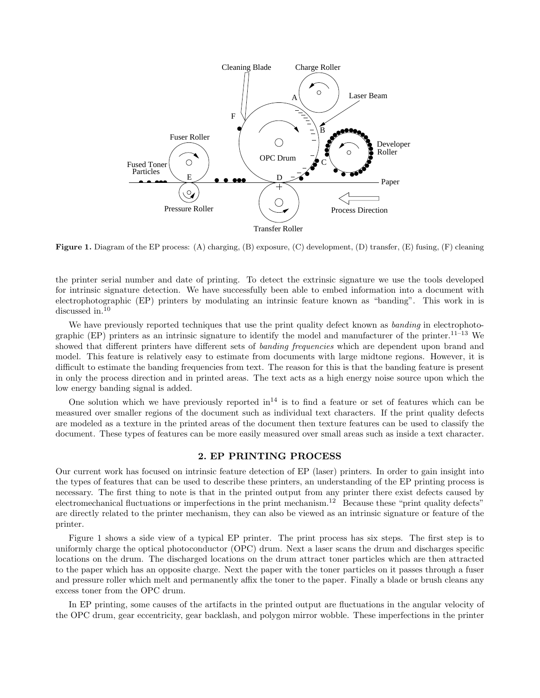

Figure 1. Diagram of the EP process: (A) charging, (B) exposure, (C) development, (D) transfer, (E) fusing, (F) cleaning

the printer serial number and date of printing. To detect the extrinsic signature we use the tools developed for intrinsic signature detection. We have successfully been able to embed information into a document with electrophotographic (EP) printers by modulating an intrinsic feature known as "banding". This work in is discussed in.<sup>10</sup>

We have previously reported techniques that use the print quality defect known as *banding* in electrophotographic (EP) printers as an intrinsic signature to identify the model and manufacturer of the printer.<sup>11–13</sup> We showed that different printers have different sets of *banding frequencies* which are dependent upon brand and model. This feature is relatively easy to estimate from documents with large midtone regions. However, it is difficult to estimate the banding frequencies from text. The reason for this is that the banding feature is present in only the process direction and in printed areas. The text acts as a high energy noise source upon which the low energy banding signal is added.

One solution which we have previously reported  $in^{14}$  is to find a feature or set of features which can be measured over smaller regions of the document such as individual text characters. If the print quality defects are modeled as a texture in the printed areas of the document then texture features can be used to classify the document. These types of features can be more easily measured over small areas such as inside a text character.

### 2. EP PRINTING PROCESS

Our current work has focused on intrinsic feature detection of EP (laser) printers. In order to gain insight into the types of features that can be used to describe these printers, an understanding of the EP printing process is necessary. The first thing to note is that in the printed output from any printer there exist defects caused by electromechanical fluctuations or imperfections in the print mechanism.<sup>12</sup> Because these "print quality defects" are directly related to the printer mechanism, they can also be viewed as an intrinsic signature or feature of the printer.

Figure 1 shows a side view of a typical EP printer. The print process has six steps. The first step is to uniformly charge the optical photoconductor (OPC) drum. Next a laser scans the drum and discharges specific locations on the drum. The discharged locations on the drum attract toner particles which are then attracted to the paper which has an opposite charge. Next the paper with the toner particles on it passes through a fuser and pressure roller which melt and permanently affix the toner to the paper. Finally a blade or brush cleans any excess toner from the OPC drum.

In EP printing, some causes of the artifacts in the printed output are fluctuations in the angular velocity of the OPC drum, gear eccentricity, gear backlash, and polygon mirror wobble. These imperfections in the printer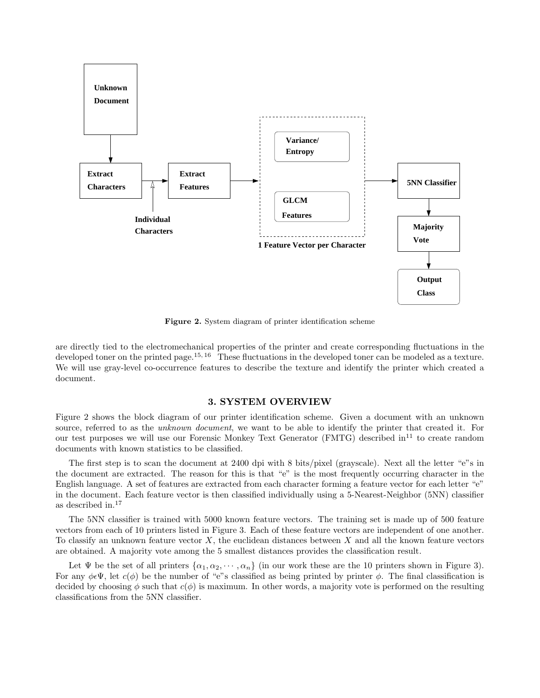

Figure 2. System diagram of printer identification scheme

are directly tied to the electromechanical properties of the printer and create corresponding fluctuations in the developed toner on the printed page.<sup>15, 16</sup> These fluctuations in the developed toner can be modeled as a texture. We will use gray-level co-occurrence features to describe the texture and identify the printer which created a document.

### 3. SYSTEM OVERVIEW

Figure 2 shows the block diagram of our printer identification scheme. Given a document with an unknown source, referred to as the *unknown document*, we want to be able to identify the printer that created it. For our test purposes we will use our Forensic Monkey Text Generator (FMTG) described in <sup>11</sup> to create random documents with known statistics to be classified.

The first step is to scan the document at 2400 dpi with 8 bits/pixel (grayscale). Next all the letter "e"s in the document are extracted. The reason for this is that "e" is the most frequently occurring character in the English language. A set of features are extracted from each character forming a feature vector for each letter "e" in the document. Each feature vector is then classified individually using a 5-Nearest-Neighbor (5NN) classifier as described in.<sup>17</sup>

The 5NN classifier is trained with 5000 known feature vectors. The training set is made up of 500 feature vectors from each of 10 printers listed in Figure 3. Each of these feature vectors are independent of one another. To classify an unknown feature vector  $X$ , the euclidean distances between  $X$  and all the known feature vectors are obtained. A majority vote among the 5 smallest distances provides the classification result.

Let  $\Psi$  be the set of all printers  $\{\alpha_1, \alpha_2, \cdots, \alpha_n\}$  (in our work these are the 10 printers shown in Figure 3). For any  $\phi \in \Psi$ , let  $c(\phi)$  be the number of "e"s classified as being printed by printer  $\phi$ . The final classification is decided by choosing  $\phi$  such that  $c(\phi)$  is maximum. In other words, a majority vote is performed on the resulting classifications from the 5NN classifier.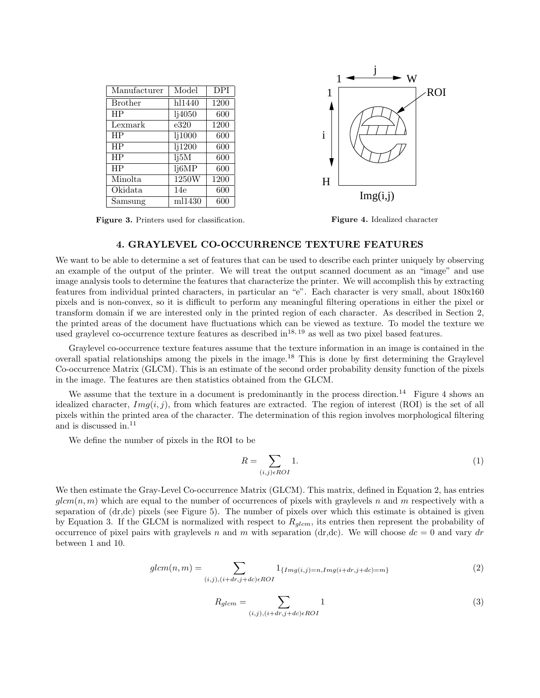| Manufacturer   | Model                 | <b>DPI</b> |
|----------------|-----------------------|------------|
| <b>Brother</b> | h11440                | 1200       |
| HP             | 1j4050                | 600        |
| Lexmark        | e320                  | 1200       |
| <b>HP</b>      | 1j1000                | 600        |
| HP             | $\overline{1j1200}$   | 600        |
| HP             | $\overline{1}$ j $5M$ | 600        |
| HP             | lj6MP                 | 600        |
| Minolta        | 1250W                 | 1200       |
| Okidata        | 14e                   | 600        |
| Samsung        | ml1430                | 600        |



Figure 3. Printers used for classification.

Figure 4. Idealized character

### 4. GRAYLEVEL CO-OCCURRENCE TEXTURE FEATURES

We want to be able to determine a set of features that can be used to describe each printer uniquely by observing an example of the output of the printer. We will treat the output scanned document as an "image" and use image analysis tools to determine the features that characterize the printer. We will accomplish this by extracting features from individual printed characters, in particular an "e". Each character is very small, about 180x160 pixels and is non-convex, so it is difficult to perform any meaningful filtering operations in either the pixel or transform domain if we are interested only in the printed region of each character. As described in Section 2, the printed areas of the document have fluctuations which can be viewed as texture. To model the texture we used graylevel co-occurrence texture features as described  $in^{18, 19}$  as well as two pixel based features.

Graylevel co-occurrence texture features assume that the texture information in an image is contained in the overall spatial relationships among the pixels in the image.<sup>18</sup> This is done by first determining the Graylevel Co-occurrence Matrix (GLCM). This is an estimate of the second order probability density function of the pixels in the image. The features are then statistics obtained from the GLCM.

We assume that the texture in a document is predominantly in the process direction.<sup>14</sup> Figure 4 shows an idealized character,  $Img(i, j)$ , from which features are extracted. The region of interest (ROI) is the set of all pixels within the printed area of the character. The determination of this region involves morphological filtering and is discussed in.<sup>11</sup>

We define the number of pixels in the ROI to be

$$
R = \sum_{(i,j)\in ROI} 1.
$$

We then estimate the Gray-Level Co-occurrence Matrix (GLCM). This matrix, defined in Equation 2, has entries  $q lcm(n,m)$  which are equal to the number of occurrences of pixels with graylevels n and m respectively with a separation of (dr,dc) pixels (see Figure 5). The number of pixels over which this estimate is obtained is given by Equation 3. If the GLCM is normalized with respect to  $R_{glcm}$ , its entries then represent the probability of occurrence of pixel pairs with graylevels n and m with separation (dr,dc). We will choose  $dc = 0$  and vary dr between 1 and 10.

$$
glcm(n,m) = \sum_{(i,j),(i+dr,j+dc)\in ROI} 1_{\{Img(i,j)=n,Img(i+dr,j+dc)=m\}} \tag{2}
$$

$$
R_{glcm} = \sum_{(i,j),(i+dr,j+dc)\in ROI} 1
$$
\n(3)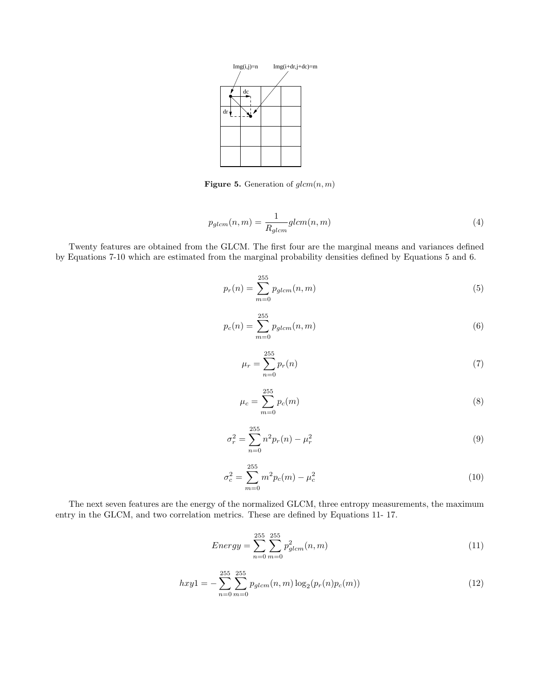

Figure 5. Generation of  $glcm(n, m)$ 

$$
p_{glcm}(n,m) = \frac{1}{R_{glcm}}glcm(n,m)
$$
\n(4)

Twenty features are obtained from the GLCM. The first four are the marginal means and variances defined by Equations 7-10 which are estimated from the marginal probability densities defined by Equations 5 and 6.

$$
p_r(n) = \sum_{m=0}^{255} p_{glcm}(n, m)
$$
 (5)

$$
p_c(n) = \sum_{m=0}^{255} p_{glcm}(n, m)
$$
 (6)

$$
\mu_r = \sum_{n=0}^{255} p_r(n) \tag{7}
$$

$$
\mu_c = \sum_{m=0}^{255} p_c(m) \tag{8}
$$

$$
\sigma_r^2 = \sum_{n=0}^{255} n^2 p_r(n) - \mu_r^2 \tag{9}
$$

$$
\sigma_c^2 = \sum_{m=0}^{255} m^2 p_c(m) - \mu_c^2
$$
\n(10)

The next seven features are the energy of the normalized GLCM, three entropy measurements, the maximum entry in the GLCM, and two correlation metrics. These are defined by Equations 11- 17.

$$
Energy = \sum_{n=0}^{255} \sum_{m=0}^{255} p_{glcm}^2(n, m)
$$
\n(11)

$$
hxy1 = -\sum_{n=0}^{255} \sum_{m=0}^{255} p_{glcm}(n, m) \log_2(p_r(n)p_c(m))
$$
\n(12)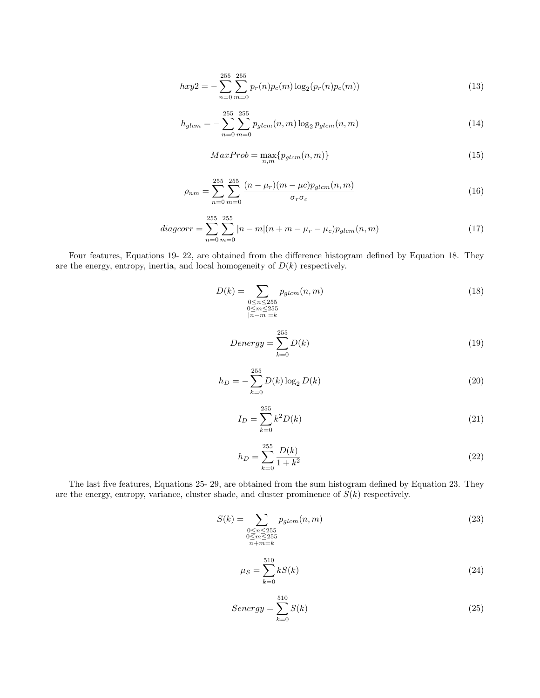$$
hxy2 = -\sum_{n=0}^{255} \sum_{m=0}^{255} p_r(n)p_c(m)\log_2(p_r(n)p_c(m))
$$
\n(13)

$$
h_{glcm} = -\sum_{n=0}^{255} \sum_{m=0}^{255} p_{glcm}(n, m) \log_2 p_{glcm}(n, m)
$$
 (14)

$$
MaxProb = \max_{n,m} \{p_{glcm}(n,m)\}\tag{15}
$$

$$
\rho_{nm} = \sum_{n=0}^{255} \sum_{m=0}^{255} \frac{(n - \mu_r)(m - \mu c)p_{glcm}(n, m)}{\sigma_r \sigma_c}
$$
(16)

$$
diagcorr = \sum_{n=0}^{255} \sum_{m=0}^{255} |n-m|(n+m-\mu_r-\mu_c)p_{glcm}(n,m)
$$
 (17)

Four features, Equations 19- 22, are obtained from the difference histogram defined by Equation 18. They are the energy, entropy, inertia, and local homogeneity of  $D(k)$  respectively.

$$
D(k) = \sum_{\substack{0 \le n \le 255 \\ 0 \le m \le 255 \\ |n-m| = k}} p_{glcm}(n, m)
$$
\n(18)

$$
Denergy = \sum_{k=0}^{255} D(k)
$$
 (19)

$$
h_D = -\sum_{k=0}^{255} D(k) \log_2 D(k)
$$
\n(20)

$$
I_D = \sum_{k=0}^{255} k^2 D(k)
$$
 (21)

$$
h_D = \sum_{k=0}^{255} \frac{D(k)}{1+k^2} \tag{22}
$$

The last five features, Equations 25- 29, are obtained from the sum histogram defined by Equation 23. They are the energy, entropy, variance, cluster shade, and cluster prominence of  $S(k)$  respectively.

$$
S(k) = \sum_{\substack{0 \le n \le 255 \\ 0 \le m \le 255 \\ n+m=k}} p_{glcm}(n, m)
$$
\n(23)

$$
\mu_S = \sum_{k=0}^{510} kS(k) \tag{24}
$$

$$
Senergy = \sum_{k=0}^{510} S(k)
$$
 (25)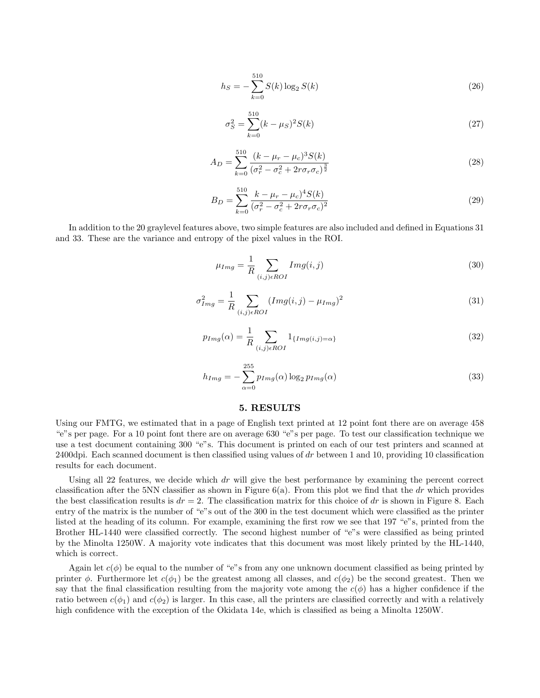$$
h_S = -\sum_{k=0}^{510} S(k) \log_2 S(k)
$$
 (26)

$$
\sigma_S^2 = \sum_{k=0}^{510} (k - \mu_S)^2 S(k)
$$
 (27)

$$
A_D = \sum_{k=0}^{510} \frac{(k - \mu_r - \mu_c)^3 S(k)}{(\sigma_r^2 - \sigma_c^2 + 2r\sigma_r \sigma_c)^{\frac{3}{2}}}
$$
(28)

$$
B_D = \sum_{k=0}^{510} \frac{k - \mu_r - \mu_c)^4 S(k)}{(\sigma_r^2 - \sigma_c^2 + 2r\sigma_r \sigma_c)^2}
$$
(29)

In addition to the 20 graylevel features above, two simple features are also included and defined in Equations 31 and 33. These are the variance and entropy of the pixel values in the ROI.

$$
\mu_{Img} = \frac{1}{R} \sum_{(i,j)\in ROI} Img(i,j) \tag{30}
$$

$$
\sigma_{Img}^2 = \frac{1}{R} \sum_{(i,j)\in ROI} (Img(i,j) - \mu_{Img})^2
$$
\n(31)

$$
p_{Img}(\alpha) = \frac{1}{R} \sum_{(i,j) \in ROI} 1_{\{Img(i,j) = \alpha\}} \tag{32}
$$

$$
h_{Img} = -\sum_{\alpha=0}^{255} p_{Img}(\alpha) \log_2 p_{Img}(\alpha)
$$
\n(33)

#### 5. RESULTS

Using our FMTG, we estimated that in a page of English text printed at 12 point font there are on average 458 "e"s per page. For a 10 point font there are on average 630 "e"s per page. To test our classification technique we use a test document containing 300 "e"s. This document is printed on each of our test printers and scanned at 2400dpi. Each scanned document is then classified using values of  $dr$  between 1 and 10, providing 10 classification results for each document.

Using all 22 features, we decide which  $dr$  will give the best performance by examining the percent correct classification after the 5NN classifier as shown in Figure  $6(a)$ . From this plot we find that the dr which provides the best classification results is  $dr = 2$ . The classification matrix for this choice of dr is shown in Figure 8. Each entry of the matrix is the number of "e"s out of the 300 in the test document which were classified as the printer listed at the heading of its column. For example, examining the first row we see that 197 "e"s, printed from the Brother HL-1440 were classified correctly. The second highest number of "e"s were classified as being printed by the Minolta 1250W. A majority vote indicates that this document was most likely printed by the HL-1440, which is correct.

Again let  $c(\phi)$  be equal to the number of "e"s from any one unknown document classified as being printed by printer  $\phi$ . Furthermore let  $c(\phi_1)$  be the greatest among all classes, and  $c(\phi_2)$  be the second greatest. Then we say that the final classification resulting from the majority vote among the  $c(\phi)$  has a higher confidence if the ratio between  $c(\phi_1)$  and  $c(\phi_2)$  is larger. In this case, all the printers are classified correctly and with a relatively high confidence with the exception of the Okidata 14e, which is classified as being a Minolta 1250W.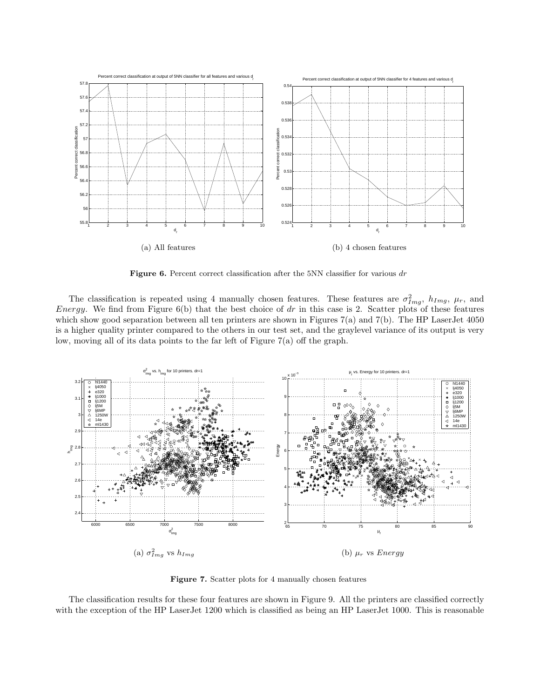

Figure 6. Percent correct classification after the 5NN classifier for various  $dr$ 

The classification is repeated using 4 manually chosen features. These features are  $\sigma_{Img}^2$ ,  $h_{Img}$ ,  $\mu_r$ , and Energy. We find from Figure  $6(b)$  that the best choice of dr in this case is 2. Scatter plots of these features which show good separation between all ten printers are shown in Figures 7(a) and 7(b). The HP LaserJet 4050 is a higher quality printer compared to the others in our test set, and the graylevel variance of its output is very low, moving all of its data points to the far left of Figure 7(a) off the graph.



Figure 7. Scatter plots for 4 manually chosen features

The classification results for these four features are shown in Figure 9. All the printers are classified correctly with the exception of the HP LaserJet 1200 which is classified as being an HP LaserJet 1000. This is reasonable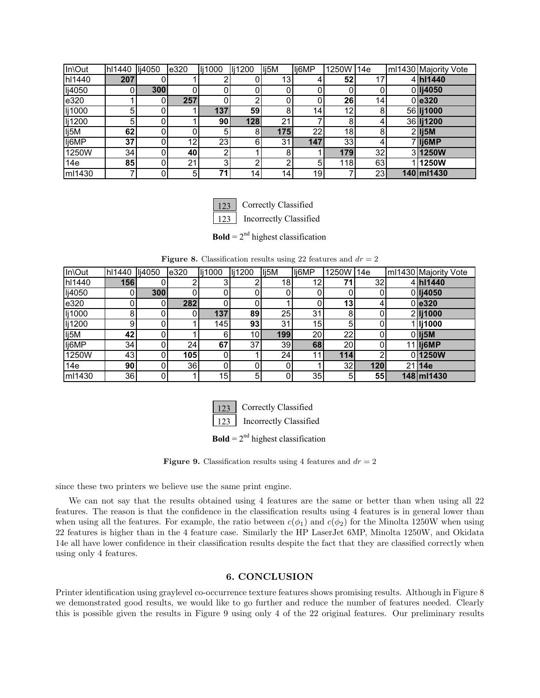| In\Out | hl1440 li4050 |     | e320            | lj1000 | li1200          | li <sub>5</sub> M | lj6MP           | 1250W 14e       |                 | ml1430 Majority Vote |
|--------|---------------|-----|-----------------|--------|-----------------|-------------------|-----------------|-----------------|-----------------|----------------------|
| hl1440 | 207           |     |                 |        |                 | 13 <sub>l</sub>   |                 | 52 <sub>1</sub> | 17              | 4 hl1440             |
| lj4050 | 0             | 300 |                 |        |                 |                   |                 |                 |                 | $0$  lj4050          |
| e320   |               |     | 257             |        |                 |                   |                 | 26              | 14 <sub>l</sub> | $0$ e320             |
| lj1000 | 5             |     |                 | 137    | 59              | 8                 | 14 <sub>1</sub> | 12              | 8               | 56 li1000            |
| lj1200 | 5             |     |                 | 90     | 128             | 21                |                 | 8               | 4               | 36 li1200            |
| lj5M   | 62            |     |                 | 5      | 8               | 175               | 22              | 18              | 8 <sub>l</sub>  | $2$  Ij5M            |
| lj6MP  | 37            |     | 12 <sub>l</sub> | 23     | 6               | 31                | 147             | 33              | 4               | 7 lj6MP              |
| 1250W  | 34            |     | 40              | ◠      |                 | 8                 |                 | 179             | 32              | 31250W               |
| 14e    | 85            |     | 21              | ≘      | ◠               | ົ                 | 5               | 118             | 63              | 1250W                |
| ml1430 | 7             |     | 5               | 71     | 14 <sub>1</sub> | 14 <sub>1</sub>   | 19              |                 | 23              | 140 ml1430           |

Correctly Classified Incorrectly Classified  $123$ 123

**Bold** =  $2<sup>nd</sup>$  highest classification

|  | <b>Figure 8.</b> Classification results using 22 features and $dr = 2$ |  |  |  |  |  |  |
|--|------------------------------------------------------------------------|--|--|--|--|--|--|
|--|------------------------------------------------------------------------|--|--|--|--|--|--|

| In\Out | hl1440 | li4050 | e320 | lj1000          | lj1200          | lj5M | lj6MP           | 1250W 14e |                | ml1430 Majority Vote |
|--------|--------|--------|------|-----------------|-----------------|------|-----------------|-----------|----------------|----------------------|
| hl1440 | 156    |        |      |                 |                 | 18   | 12              | 71        | 32             | 4 hl1440             |
| lj4050 | 01     | 300    |      |                 |                 |      |                 |           |                | 0 lj4050             |
| e320   | 01     | 01     | 282  |                 |                 |      |                 | 13        | 4              | 0 e320               |
| lj1000 | 8      |        |      | 137             | 89              | 25   | 31              | 8         |                | 2 lj1000             |
| lj1200 | 9      |        |      | 145             | 93 <sub>l</sub> | 31   | 15 <sub>l</sub> | 5         |                | 1 lij 1000           |
| lj5M   | 42     | 0      |      | 6               | 10I             | 199  | 20              | 22        | 0 <sub>1</sub> | $0$  lj5M            |
| lj6MP  | 34     |        | 24   | 67              | 37              | 39   | 68              | 20        |                | 11 lj6MP             |
| 1250W  | 43     | 0      | 105  |                 |                 | 24   | 11              | 114       | ◠              | $0$ 1250W            |
| 14e    | 90     | 0      | 36   |                 |                 |      |                 | 32        | 120            | 21 <b>14e</b>        |
| ml1430 | 36     | 01     |      | 15 <sub>1</sub> | 5               |      | 35              | 5         | 55             | 148 ml1430           |



**Bold** =  $2<sup>nd</sup>$  highest classification

**Figure 9.** Classification results using 4 features and  $dr = 2$ 

since these two printers we believe use the same print engine.

We can not say that the results obtained using 4 features are the same or better than when using all 22 features. The reason is that the confidence in the classification results using 4 features is in general lower than when using all the features. For example, the ratio between  $c(\phi_1)$  and  $c(\phi_2)$  for the Minolta 1250W when using 22 features is higher than in the 4 feature case. Similarly the HP LaserJet 6MP, Minolta 1250W, and Okidata 14e all have lower confidence in their classification results despite the fact that they are classified correctly when using only 4 features.

#### 6. CONCLUSION

Printer identification using graylevel co-occurrence texture features shows promising results. Although in Figure 8 we demonstrated good results, we would like to go further and reduce the number of features needed. Clearly this is possible given the results in Figure 9 using only 4 of the 22 original features. Our preliminary results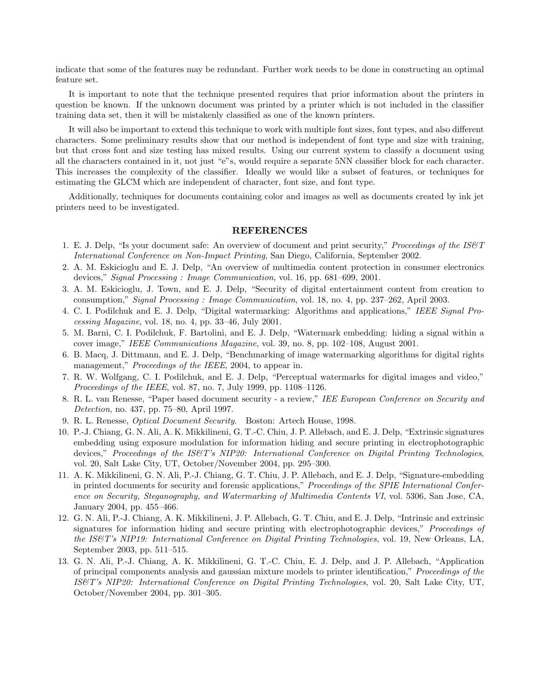indicate that some of the features may be redundant. Further work needs to be done in constructing an optimal feature set.

It is important to note that the technique presented requires that prior information about the printers in question be known. If the unknown document was printed by a printer which is not included in the classifier training data set, then it will be mistakenly classified as one of the known printers.

It will also be important to extend this technique to work with multiple font sizes, font types, and also different characters. Some preliminary results show that our method is independent of font type and size with training, but that cross font and size testing has mixed results. Using our current system to classify a document using all the characters contained in it, not just "e"s, would require a separate 5NN classifier block for each character. This increases the complexity of the classifier. Ideally we would like a subset of features, or techniques for estimating the GLCM which are independent of character, font size, and font type.

Additionally, techniques for documents containing color and images as well as documents created by ink jet printers need to be investigated.

#### REFERENCES

- 1. E. J. Delp, "Is your document safe: An overview of document and print security," Proceedings of the IS&T International Conference on Non-Impact Printing, San Diego, California, September 2002.
- 2. A. M. Eskicioglu and E. J. Delp, "An overview of multimedia content protection in consumer electronics devices," Signal Processing : Image Communication, vol. 16, pp. 681–699, 2001.
- 3. A. M. Eskicioglu, J. Town, and E. J. Delp, "Security of digital entertainment content from creation to consumption," Signal Processing : Image Communication, vol. 18, no. 4, pp. 237–262, April 2003.
- 4. C. I. Podilchuk and E. J. Delp, "Digital watermarking: Algorithms and applications," IEEE Signal Processing Magazine, vol. 18, no. 4, pp. 33–46, July 2001.
- 5. M. Barni, C. I. Podilchuk, F. Bartolini, and E. J. Delp, "Watermark embedding: hiding a signal within a cover image," IEEE Communications Magazine, vol. 39, no. 8, pp. 102–108, August 2001.
- 6. B. Macq, J. Dittmann, and E. J. Delp, "Benchmarking of image watermarking algorithms for digital rights management," *Proceedings of the IEEE*, 2004, to appear in.
- 7. R. W. Wolfgang, C. I. Podilchuk, and E. J. Delp, "Perceptual watermarks for digital images and video," Proceedings of the IEEE, vol. 87, no. 7, July 1999, pp. 1108–1126.
- 8. R. L. van Renesse, "Paper based document security a review," IEE European Conference on Security and Detection, no. 437, pp. 75–80, April 1997.
- 9. R. L. Renesse, Optical Document Security. Boston: Artech House, 1998.
- 10. P.-J. Chiang, G. N. Ali, A. K. Mikkilineni, G. T.-C. Chiu, J. P. Allebach, and E. J. Delp, "Extrinsic signatures embedding using exposure modulation for information hiding and secure printing in electrophotographic devices," Proceedings of the IS&T's NIP20: International Conference on Digital Printing Technologies, vol. 20, Salt Lake City, UT, October/November 2004, pp. 295–300.
- 11. A. K. Mikkilineni, G. N. Ali, P.-J. Chiang, G. T. Chiu, J. P. Allebach, and E. J. Delp, "Signature-embedding in printed documents for security and forensic applications," Proceedings of the SPIE International Conference on Security, Steganography, and Watermarking of Multimedia Contents VI, vol. 5306, San Jose, CA, January 2004, pp. 455–466.
- 12. G. N. Ali, P.-J. Chiang, A. K. Mikkilineni, J. P. Allebach, G. T. Chiu, and E. J. Delp, "Intrinsic and extrinsic signatures for information hiding and secure printing with electrophotographic devices," Proceedings of the IS&T's NIP19: International Conference on Digital Printing Technologies, vol. 19, New Orleans, LA, September 2003, pp. 511–515.
- 13. G. N. Ali, P.-J. Chiang, A. K. Mikkilineni, G. T.-C. Chiu, E. J. Delp, and J. P. Allebach, "Application of principal components analysis and gaussian mixture models to printer identification," Proceedings of the IS&T's NIP20: International Conference on Digital Printing Technologies, vol. 20, Salt Lake City, UT, October/November 2004, pp. 301–305.